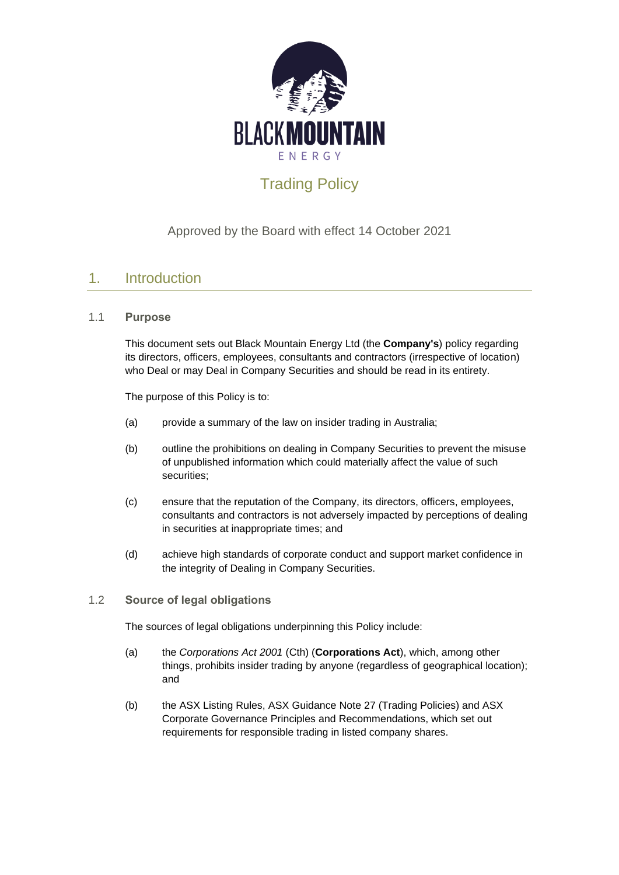

# Trading Policy

### Approved by the Board with effect 14 October 2021

### 1. Introduction

#### 1.1 **Purpose**

This document sets out Black Mountain Energy Ltd (the **Company's**) policy regarding its directors, officers, employees, consultants and contractors (irrespective of location) who Deal or may Deal in Company Securities and should be read in its entirety.

The purpose of this Policy is to:

- (a) provide a summary of the law on insider trading in Australia;
- (b) outline the prohibitions on dealing in Company Securities to prevent the misuse of unpublished information which could materially affect the value of such securities;
- (c) ensure that the reputation of the Company, its directors, officers, employees, consultants and contractors is not adversely impacted by perceptions of dealing in securities at inappropriate times; and
- (d) achieve high standards of corporate conduct and support market confidence in the integrity of Dealing in Company Securities.

#### 1.2 **Source of legal obligations**

The sources of legal obligations underpinning this Policy include:

- (a) the *Corporations Act 2001* (Cth) (**Corporations Act**), which, among other things, prohibits insider trading by anyone (regardless of geographical location); and
- (b) the ASX Listing Rules, ASX Guidance Note 27 (Trading Policies) and ASX Corporate Governance Principles and Recommendations, which set out requirements for responsible trading in listed company shares.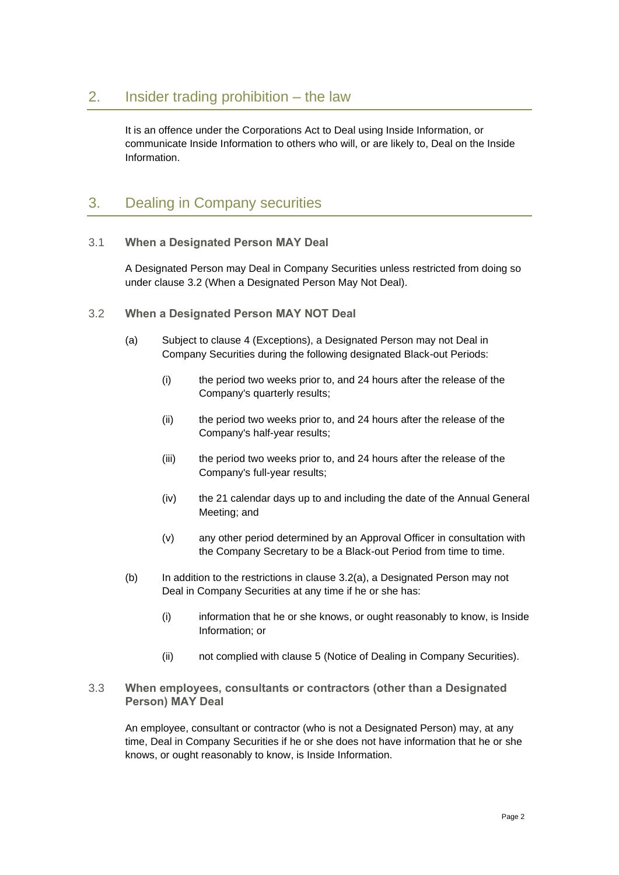It is an offence under the Corporations Act to Deal using Inside Information, or communicate Inside Information to others who will, or are likely to, Deal on the Inside Information.

## 3. Dealing in Company securities

#### 3.1 **When a Designated Person MAY Deal**

A Designated Person may Deal in Company Securities unless restricted from doing so under clause [3.2](#page-1-0) (When a Designated Person May Not Deal).

- <span id="page-1-1"></span><span id="page-1-0"></span>3.2 **When a Designated Person MAY NOT Deal**
	- (a) Subject to clause [4](#page-2-0) (Exceptions), a Designated Person may not Deal in Company Securities during the following designated Black-out Periods:
		- (i) the period two weeks prior to, and 24 hours after the release of the Company's quarterly results;
		- (ii) the period two weeks prior to, and 24 hours after the release of the Company's half-year results;
		- (iii) the period two weeks prior to, and 24 hours after the release of the Company's full-year results;
		- (iv) the 21 calendar days up to and including the date of the Annual General Meeting; and
		- (v) any other period determined by an Approval Officer in consultation with the Company Secretary to be a Black-out Period from time to time.
	- (b) In addition to the restrictions in clause [3.2\(a\),](#page-1-1) a Designated Person may not Deal in Company Securities at any time if he or she has:
		- (i) information that he or she knows, or ought reasonably to know, is Inside Information; or
		- (ii) not complied with clause [5](#page-4-0) (Notice of Dealing in Company Securities).

#### 3.3 **When employees, consultants or contractors (other than a Designated Person) MAY Deal**

An employee, consultant or contractor (who is not a Designated Person) may, at any time, Deal in Company Securities if he or she does not have information that he or she knows, or ought reasonably to know, is Inside Information.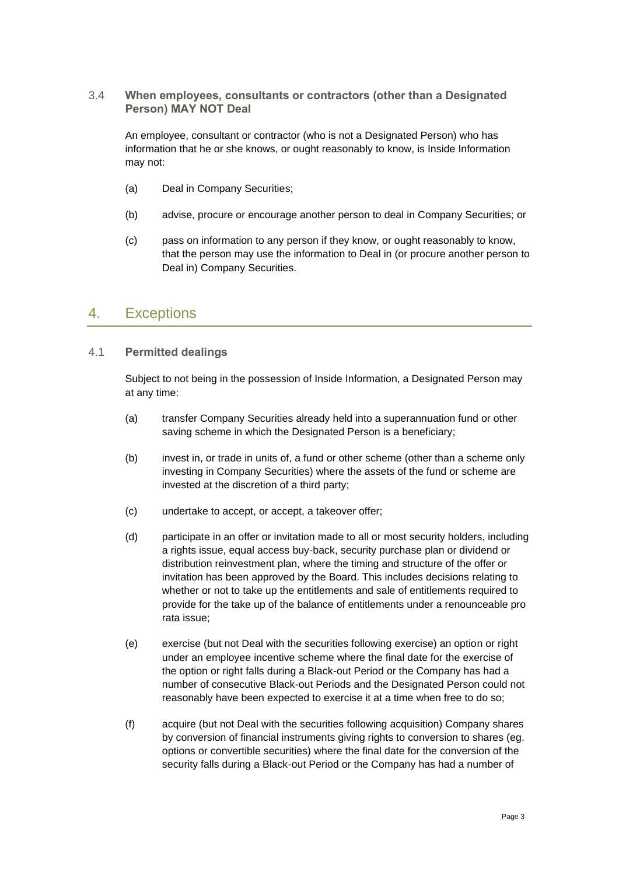#### 3.4 **When employees, consultants or contractors (other than a Designated Person) MAY NOT Deal**

An employee, consultant or contractor (who is not a Designated Person) who has information that he or she knows, or ought reasonably to know, is Inside Information may not:

- (a) Deal in Company Securities;
- (b) advise, procure or encourage another person to deal in Company Securities; or
- (c) pass on information to any person if they know, or ought reasonably to know, that the person may use the information to Deal in (or procure another person to Deal in) Company Securities.

### <span id="page-2-0"></span>4. Exceptions

#### 4.1 **Permitted dealings**

Subject to not being in the possession of Inside Information, a Designated Person may at any time:

- (a) transfer Company Securities already held into a superannuation fund or other saving scheme in which the Designated Person is a beneficiary;
- (b) invest in, or trade in units of, a fund or other scheme (other than a scheme only investing in Company Securities) where the assets of the fund or scheme are invested at the discretion of a third party;
- (c) undertake to accept, or accept, a takeover offer;
- (d) participate in an offer or invitation made to all or most security holders, including a rights issue, equal access buy-back, security purchase plan or dividend or distribution reinvestment plan, where the timing and structure of the offer or invitation has been approved by the Board. This includes decisions relating to whether or not to take up the entitlements and sale of entitlements required to provide for the take up of the balance of entitlements under a renounceable pro rata issue;
- (e) exercise (but not Deal with the securities following exercise) an option or right under an employee incentive scheme where the final date for the exercise of the option or right falls during a Black-out Period or the Company has had a number of consecutive Black-out Periods and the Designated Person could not reasonably have been expected to exercise it at a time when free to do so;
- (f) acquire (but not Deal with the securities following acquisition) Company shares by conversion of financial instruments giving rights to conversion to shares (eg. options or convertible securities) where the final date for the conversion of the security falls during a Black-out Period or the Company has had a number of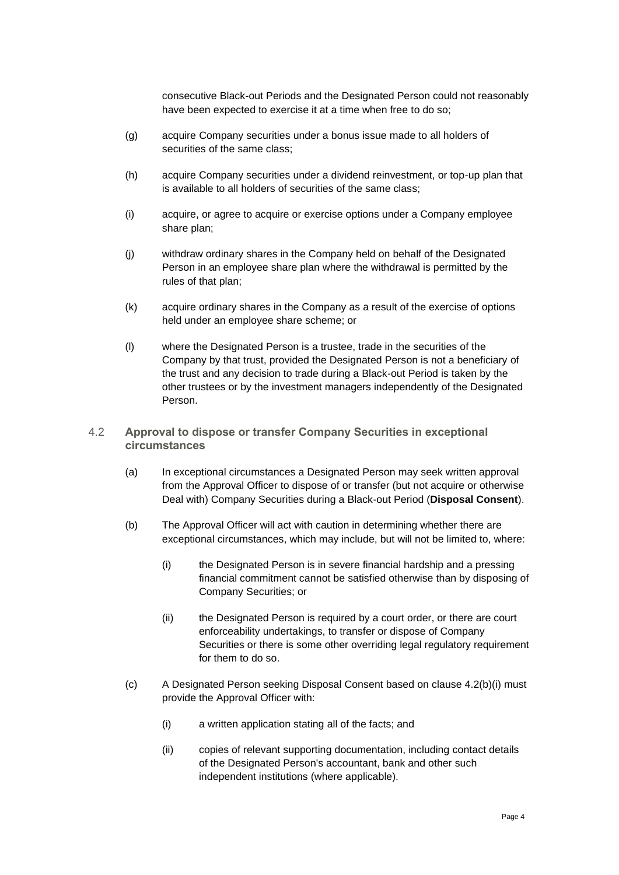consecutive Black-out Periods and the Designated Person could not reasonably have been expected to exercise it at a time when free to do so;

- (g) acquire Company securities under a bonus issue made to all holders of securities of the same class;
- (h) acquire Company securities under a dividend reinvestment, or top-up plan that is available to all holders of securities of the same class;
- (i) acquire, or agree to acquire or exercise options under a Company employee share plan;
- (j) withdraw ordinary shares in the Company held on behalf of the Designated Person in an employee share plan where the withdrawal is permitted by the rules of that plan;
- (k) acquire ordinary shares in the Company as a result of the exercise of options held under an employee share scheme; or
- (l) where the Designated Person is a trustee, trade in the securities of the Company by that trust, provided the Designated Person is not a beneficiary of the trust and any decision to trade during a Black-out Period is taken by the other trustees or by the investment managers independently of the Designated Person.
- <span id="page-3-1"></span><span id="page-3-0"></span>4.2 **Approval to dispose or transfer Company Securities in exceptional circumstances**
	- (a) In exceptional circumstances a Designated Person may seek written approval from the Approval Officer to dispose of or transfer (but not acquire or otherwise Deal with) Company Securities during a Black-out Period (**Disposal Consent**).
	- (b) The Approval Officer will act with caution in determining whether there are exceptional circumstances, which may include, but will not be limited to, where:
		- (i) the Designated Person is in severe financial hardship and a pressing financial commitment cannot be satisfied otherwise than by disposing of Company Securities; or
		- (ii) the Designated Person is required by a court order, or there are court enforceability undertakings, to transfer or dispose of Company Securities or there is some other overriding legal regulatory requirement for them to do so.
	- (c) A Designated Person seeking Disposal Consent based on clause [4.2\(b\)\(i\)](#page-3-0) must provide the Approval Officer with:
		- (i) a written application stating all of the facts; and
		- (ii) copies of relevant supporting documentation, including contact details of the Designated Person's accountant, bank and other such independent institutions (where applicable).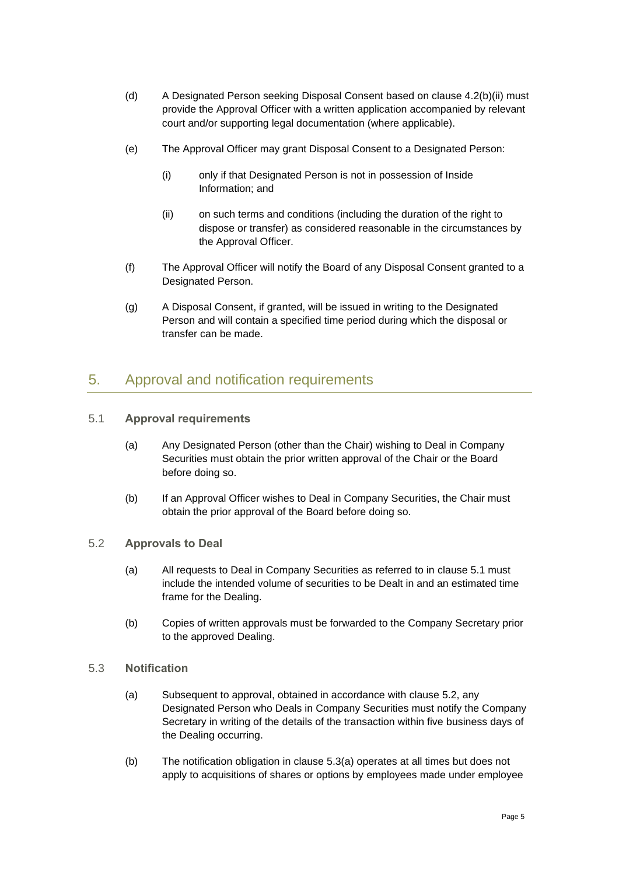- (d) A Designated Person seeking Disposal Consent based on clause [4.2\(b\)\(ii\)](#page-3-1) must provide the Approval Officer with a written application accompanied by relevant court and/or supporting legal documentation (where applicable).
- (e) The Approval Officer may grant Disposal Consent to a Designated Person:
	- (i) only if that Designated Person is not in possession of Inside Information; and
	- (ii) on such terms and conditions (including the duration of the right to dispose or transfer) as considered reasonable in the circumstances by the Approval Officer.
- (f) The Approval Officer will notify the Board of any Disposal Consent granted to a Designated Person.
- (g) A Disposal Consent, if granted, will be issued in writing to the Designated Person and will contain a specified time period during which the disposal or transfer can be made.

### <span id="page-4-0"></span>5. Approval and notification requirements

- <span id="page-4-1"></span>5.1 **Approval requirements**
	- (a) Any Designated Person (other than the Chair) wishing to Deal in Company Securities must obtain the prior written approval of the Chair or the Board before doing so.
	- (b) If an Approval Officer wishes to Deal in Company Securities, the Chair must obtain the prior approval of the Board before doing so.

#### <span id="page-4-2"></span>5.2 **Approvals to Deal**

- (a) All requests to Deal in Company Securities as referred to in clause [5.1](#page-4-1) must include the intended volume of securities to be Dealt in and an estimated time frame for the Dealing.
- (b) Copies of written approvals must be forwarded to the Company Secretary prior to the approved Dealing.

#### <span id="page-4-3"></span>5.3 **Notification**

- (a) Subsequent to approval, obtained in accordance with clause [5.2,](#page-4-2) any Designated Person who Deals in Company Securities must notify the Company Secretary in writing of the details of the transaction within five business days of the Dealing occurring.
- (b) The notification obligation in clause [5.3\(a\)](#page-4-3) operates at all times but does not apply to acquisitions of shares or options by employees made under employee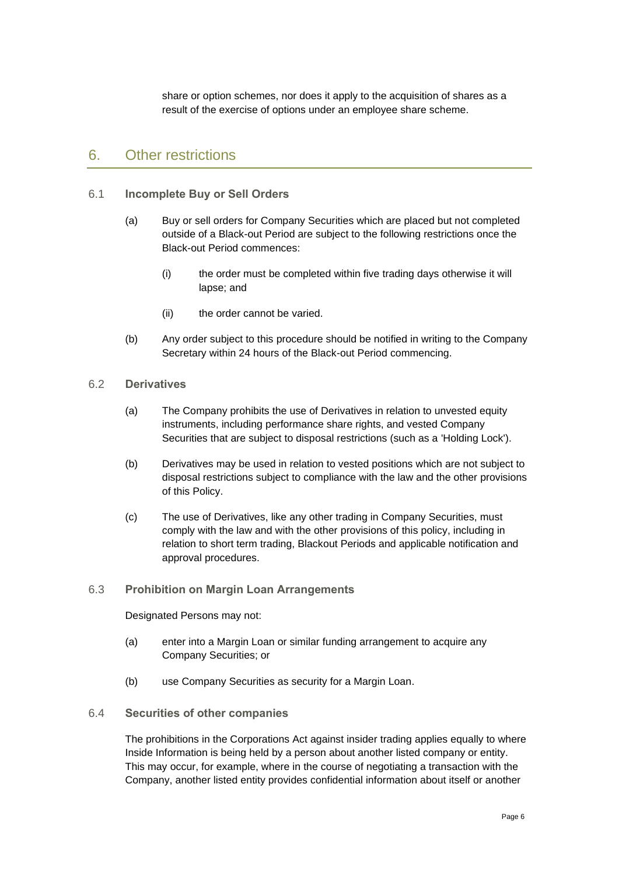share or option schemes, nor does it apply to the acquisition of shares as a result of the exercise of options under an employee share scheme.

### 6. Other restrictions

#### 6.1 **Incomplete Buy or Sell Orders**

- (a) Buy or sell orders for Company Securities which are placed but not completed outside of a Black-out Period are subject to the following restrictions once the Black-out Period commences:
	- (i) the order must be completed within five trading days otherwise it will lapse; and
	- (ii) the order cannot be varied.
- (b) Any order subject to this procedure should be notified in writing to the Company Secretary within 24 hours of the Black-out Period commencing.

#### 6.2 **Derivatives**

- (a) The Company prohibits the use of Derivatives in relation to unvested equity instruments, including performance share rights, and vested Company Securities that are subject to disposal restrictions (such as a 'Holding Lock').
- (b) Derivatives may be used in relation to vested positions which are not subject to disposal restrictions subject to compliance with the law and the other provisions of this Policy.
- (c) The use of Derivatives, like any other trading in Company Securities, must comply with the law and with the other provisions of this policy, including in relation to short term trading, Blackout Periods and applicable notification and approval procedures.

#### 6.3 **Prohibition on Margin Loan Arrangements**

#### Designated Persons may not:

- (a) enter into a Margin Loan or similar funding arrangement to acquire any Company Securities; or
- (b) use Company Securities as security for a Margin Loan.
- 6.4 **Securities of other companies**

The prohibitions in the Corporations Act against insider trading applies equally to where Inside Information is being held by a person about another listed company or entity. This may occur, for example, where in the course of negotiating a transaction with the Company, another listed entity provides confidential information about itself or another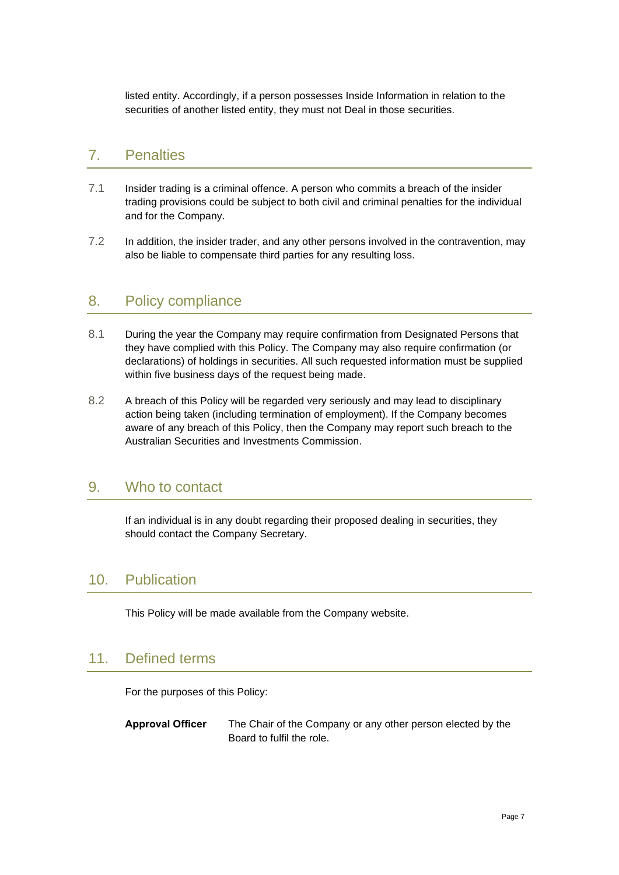listed entity. Accordingly, if a person possesses Inside Information in relation to the securities of another listed entity, they must not Deal in those securities.

### 7. Penalties

- 7.1 Insider trading is a criminal offence. A person who commits a breach of the insider trading provisions could be subject to both civil and criminal penalties for the individual and for the Company.
- 7.2 In addition, the insider trader, and any other persons involved in the contravention, may also be liable to compensate third parties for any resulting loss.

### 8. Policy compliance

- 8.1 During the year the Company may require confirmation from Designated Persons that they have complied with this Policy. The Company may also require confirmation (or declarations) of holdings in securities. All such requested information must be supplied within five business days of the request being made.
- 8.2 A breach of this Policy will be regarded very seriously and may lead to disciplinary action being taken (including termination of employment). If the Company becomes aware of any breach of this Policy, then the Company may report such breach to the Australian Securities and Investments Commission.

### 9. Who to contact

If an individual is in any doubt regarding their proposed dealing in securities, they should contact the Company Secretary.

### 10. Publication

This Policy will be made available from the Company website.

### 11. Defined terms

For the purposes of this Policy:

**Approval Officer** The Chair of the Company or any other person elected by the Board to fulfil the role.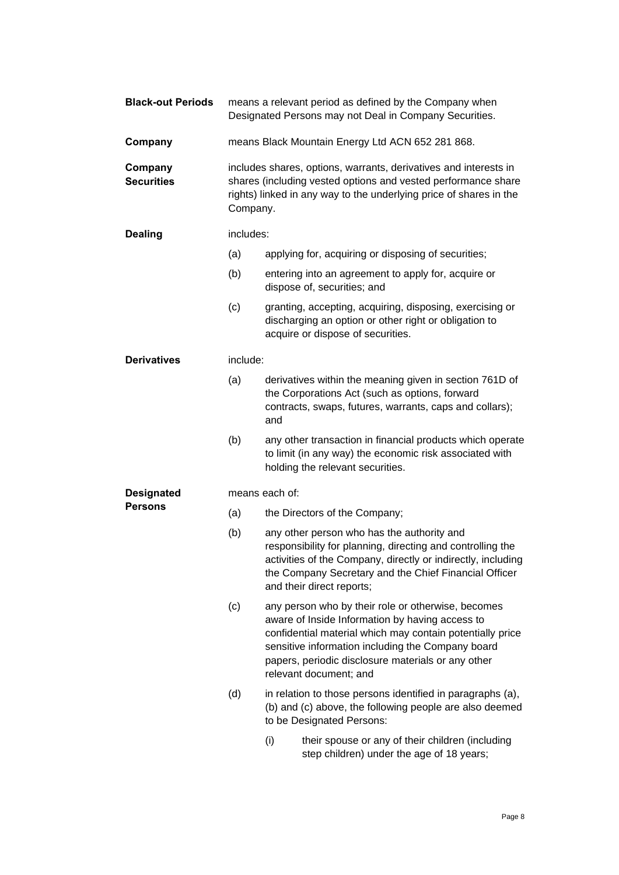| <b>Black-out Periods</b>            | means a relevant period as defined by the Company when<br>Designated Persons may not Deal in Company Securities.                                                                                                    |                                                                                                                                                                                                                                                                                                         |  |
|-------------------------------------|---------------------------------------------------------------------------------------------------------------------------------------------------------------------------------------------------------------------|---------------------------------------------------------------------------------------------------------------------------------------------------------------------------------------------------------------------------------------------------------------------------------------------------------|--|
| Company                             | means Black Mountain Energy Ltd ACN 652 281 868.                                                                                                                                                                    |                                                                                                                                                                                                                                                                                                         |  |
| Company<br><b>Securities</b>        | includes shares, options, warrants, derivatives and interests in<br>shares (including vested options and vested performance share<br>rights) linked in any way to the underlying price of shares in the<br>Company. |                                                                                                                                                                                                                                                                                                         |  |
| <b>Dealing</b>                      | includes:                                                                                                                                                                                                           |                                                                                                                                                                                                                                                                                                         |  |
|                                     | (a)                                                                                                                                                                                                                 | applying for, acquiring or disposing of securities;                                                                                                                                                                                                                                                     |  |
|                                     | (b)                                                                                                                                                                                                                 | entering into an agreement to apply for, acquire or<br>dispose of, securities; and                                                                                                                                                                                                                      |  |
|                                     | (c)                                                                                                                                                                                                                 | granting, accepting, acquiring, disposing, exercising or<br>discharging an option or other right or obligation to<br>acquire or dispose of securities.                                                                                                                                                  |  |
| <b>Derivatives</b>                  | include:                                                                                                                                                                                                            |                                                                                                                                                                                                                                                                                                         |  |
|                                     | (a)                                                                                                                                                                                                                 | derivatives within the meaning given in section 761D of<br>the Corporations Act (such as options, forward<br>contracts, swaps, futures, warrants, caps and collars);<br>and                                                                                                                             |  |
|                                     | (b)                                                                                                                                                                                                                 | any other transaction in financial products which operate<br>to limit (in any way) the economic risk associated with<br>holding the relevant securities.                                                                                                                                                |  |
| <b>Designated</b><br><b>Persons</b> | means each of:                                                                                                                                                                                                      |                                                                                                                                                                                                                                                                                                         |  |
|                                     | (a)                                                                                                                                                                                                                 | the Directors of the Company;                                                                                                                                                                                                                                                                           |  |
|                                     | (b)                                                                                                                                                                                                                 | any other person who has the authority and<br>responsibility for planning, directing and controlling the<br>activities of the Company, directly or indirectly, including<br>the Company Secretary and the Chief Financial Officer<br>and their direct reports;                                          |  |
|                                     | (c)                                                                                                                                                                                                                 | any person who by their role or otherwise, becomes<br>aware of Inside Information by having access to<br>confidential material which may contain potentially price<br>sensitive information including the Company board<br>papers, periodic disclosure materials or any other<br>relevant document; and |  |
|                                     | (d)                                                                                                                                                                                                                 | in relation to those persons identified in paragraphs (a),<br>(b) and (c) above, the following people are also deemed<br>to be Designated Persons:                                                                                                                                                      |  |
|                                     |                                                                                                                                                                                                                     | (i)<br>their spouse or any of their children (including<br>step children) under the age of 18 years;                                                                                                                                                                                                    |  |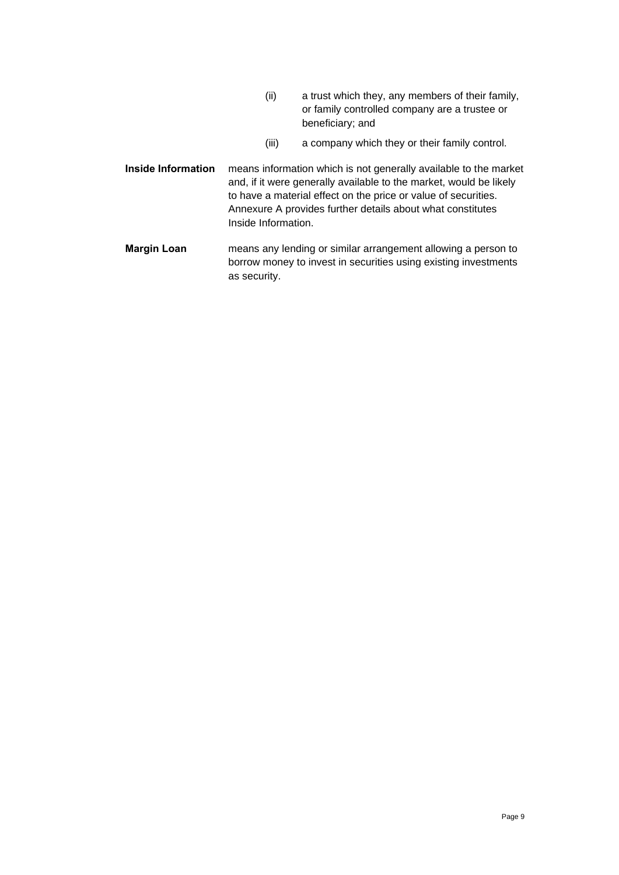- (ii) a trust which they, any members of their family, or family controlled company are a trustee or beneficiary; and
- (iii) a company which they or their family control.
- **Inside Information** means information which is not generally available to the market and, if it were generally available to the market, would be likely to have a material effect on the price or value of securities. [Annexure A](#page-9-0) provides further details about what constitutes Inside Information.
- **Margin Loan** means any lending or similar arrangement allowing a person to borrow money to invest in securities using existing investments as security.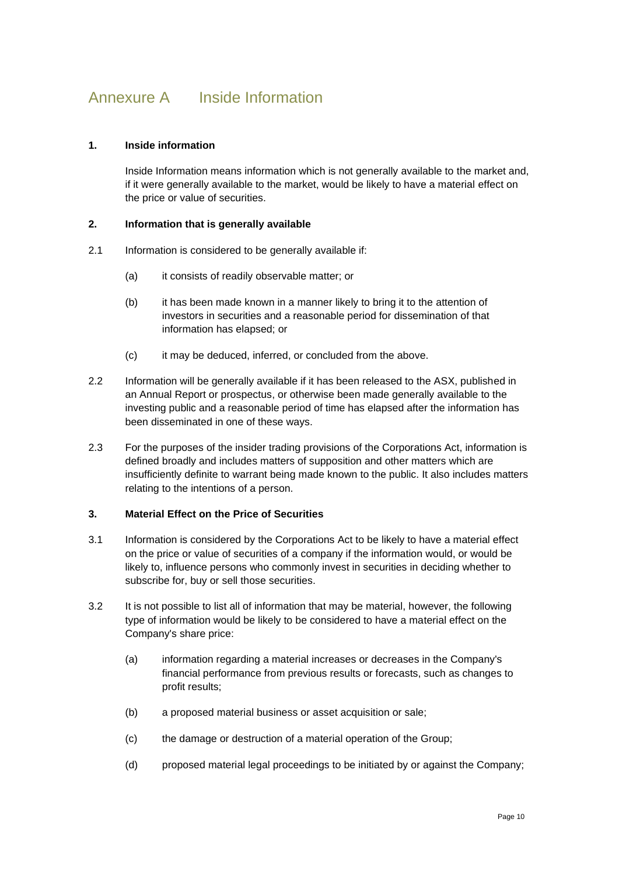# <span id="page-9-0"></span>Annexure A Inside Information

#### **1. Inside information**

Inside Information means information which is not generally available to the market and, if it were generally available to the market, would be likely to have a material effect on the price or value of securities.

#### **2. Information that is generally available**

- 2.1 Information is considered to be generally available if:
	- (a) it consists of readily observable matter; or
	- (b) it has been made known in a manner likely to bring it to the attention of investors in securities and a reasonable period for dissemination of that information has elapsed; or
	- (c) it may be deduced, inferred, or concluded from the above.
- 2.2 Information will be generally available if it has been released to the ASX, published in an Annual Report or prospectus, or otherwise been made generally available to the investing public and a reasonable period of time has elapsed after the information has been disseminated in one of these ways.
- 2.3 For the purposes of the insider trading provisions of the Corporations Act, information is defined broadly and includes matters of supposition and other matters which are insufficiently definite to warrant being made known to the public. It also includes matters relating to the intentions of a person.

#### **3. Material Effect on the Price of Securities**

- 3.1 Information is considered by the Corporations Act to be likely to have a material effect on the price or value of securities of a company if the information would, or would be likely to, influence persons who commonly invest in securities in deciding whether to subscribe for, buy or sell those securities.
- 3.2 It is not possible to list all of information that may be material, however, the following type of information would be likely to be considered to have a material effect on the Company's share price:
	- (a) information regarding a material increases or decreases in the Company's financial performance from previous results or forecasts, such as changes to profit results;
	- (b) a proposed material business or asset acquisition or sale;
	- (c) the damage or destruction of a material operation of the Group;
	- (d) proposed material legal proceedings to be initiated by or against the Company;